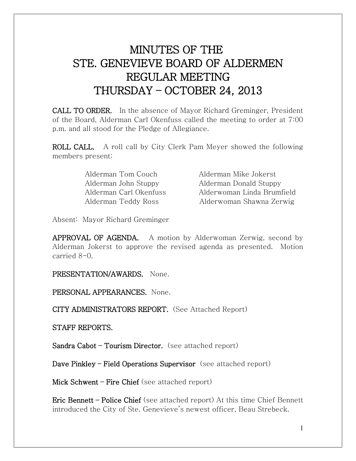## MINUTES OF THE STE. GENEVIEVE BOARD OF ALDERMEN REGULAR MEETING THURSDAY – OCTOBER 24, 2013

CALL TO ORDER. In the absence of Mayor Richard Greminger, President of the Board, Alderman Carl Okenfuss called the meeting to order at 7:00 p.m. and all stood for the Pledge of Allegiance.

ROLL CALL. A roll call by City Clerk Pam Meyer showed the following members present:

Alderman Tom Couch Alderman Mike Jokerst

 Alderman John Stuppy Alderman Donald Stuppy Alderman Carl Okenfuss Alderwoman Linda Brumfield Alderman Teddy Ross Alderwoman Shawna Zerwig

Absent: Mayor Richard Greminger

APPROVAL OF AGENDA. A motion by Alderwoman Zerwig, second by Alderman Jokerst to approve the revised agenda as presented. Motion carried 8-0.

PRESENTATION/AWARDS. None.

PERSONAL APPEARANCES. None.

CITY ADMINISTRATORS REPORT. (See Attached Report)

STAFF REPORTS.

Sandra Cabot – Tourism Director. (see attached report)

Dave Pinkley – Field Operations Supervisor (see attached report)

Mick Schwent – Fire Chief (see attached report)

Eric Bennett – Police Chief (see attached report) At this time Chief Bennett introduced the City of Ste. Genevieve's newest officer, Beau Strebeck.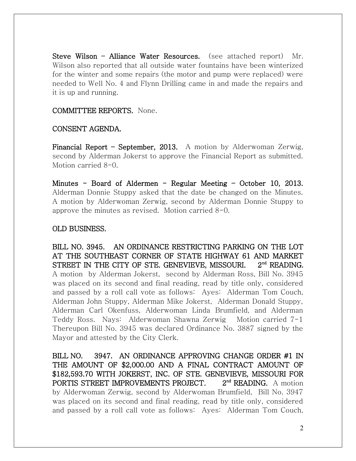Steve Wilson – Alliance Water Resources. (see attached report) Mr. Wilson also reported that all outside water fountains have been winterized for the winter and some repairs (the motor and pump were replaced) were needed to Well No. 4 and Flynn Drilling came in and made the repairs and it is up and running.

COMMITTEE REPORTS. None.

## CONSENT AGENDA.

Financial Report – September, 2013. A motion by Alderwoman Zerwig, second by Alderman Jokerst to approve the Financial Report as submitted. Motion carried 8-0.

Minutes – Board of Aldermen – Regular Meeting – October 10, 2013. Alderman Donnie Stuppy asked that the date be changed on the Minutes. A motion by Alderwoman Zerwig, second by Alderman Donnie Stuppy to approve the minutes as revised. Motion carried 8-0.

## OLD BUSINESS.

BILL NO. 3945. AN ORDINANCE RESTRICTING PARKING ON THE LOT AT THE SOUTHEAST CORNER OF STATE HIGHWAY 61 AND MARKET STREET IN THE CITY OF STE. GENEVIEVE, MISSOURI. 2<sup>nd</sup> READING. A motion by Alderman Jokerst, second by Alderman Ross, Bill No. 3945 was placed on its second and final reading, read by title only, considered and passed by a roll call vote as follows: Ayes: Alderman Tom Couch, Alderman John Stuppy, Alderman Mike Jokerst, Alderman Donald Stuppy, Alderman Carl Okenfuss, Alderwoman Linda Brumfield, and Alderman Teddy Ross. Nays: Alderwoman Shawna Zerwig Motion carried 7-1 Thereupon Bill No. 3945 was declared Ordinance No. 3887 signed by the Mayor and attested by the City Clerk.

BILL NO. 3947. AN ORDINANCE APPROVING CHANGE ORDER #1 IN THE AMOUNT OF \$2,000.00 AND A FINAL CONTRACT AMOUNT OF \$182,593.70 WITH JOKERST, INC. OF STE. GENEVIEVE, MISSOURI FOR PORTIS STREET IMPROVEMENTS PROJECT. 2<sup>nd</sup> READING. A motion by Alderwoman Zerwig, second by Alderwoman Brumfield, Bill No. 3947 was placed on its second and final reading, read by title only, considered and passed by a roll call vote as follows: Ayes: Alderman Tom Couch,